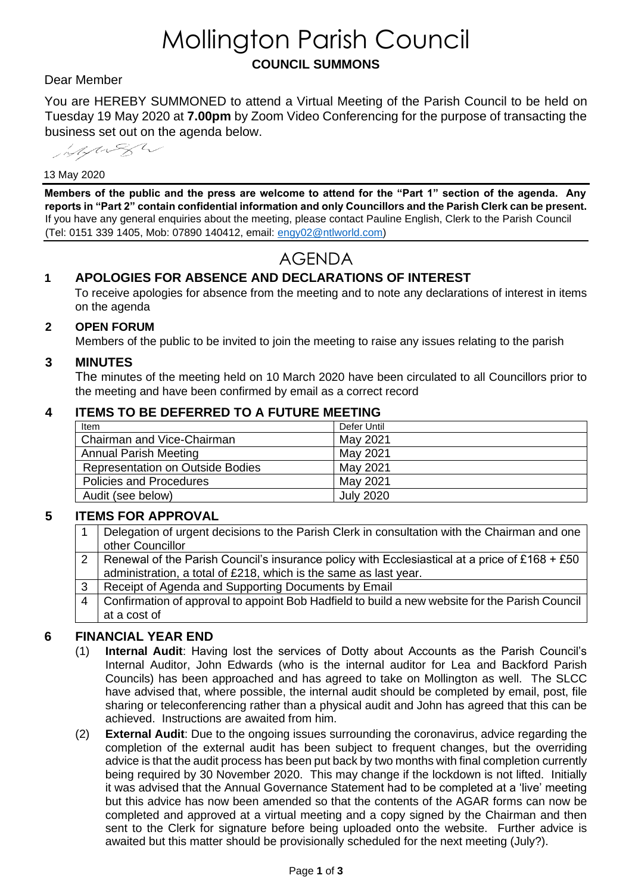# Mollington Parish Council **COUNCIL SUMMONS**

#### Dear Member

You are HEREBY SUMMONED to attend a Virtual Meeting of the Parish Council to be held on Tuesday 19 May 2020 at **7.00pm** by Zoom Video Conferencing for the purpose of transacting the business set out on the agenda below.

Marga

#### 13 May 2020

**Members of the public and the press are welcome to attend for the "Part 1" section of the agenda. Any reports in "Part 2" contain confidential information and only Councillors and the Parish Clerk can be present.**  If you have any general enquiries about the meeting, please contact Pauline English, Clerk to the Parish Council (Tel: 0151 339 1405, Mob: 07890 140412, email: [engy02@ntlworld.com\)](mailto:engy02@ntlworld.com)

## AGENDA

### **1 APOLOGIES FOR ABSENCE AND DECLARATIONS OF INTEREST**

To receive apologies for absence from the meeting and to note any declarations of interest in items on the agenda

#### **2 OPEN FORUM**

Members of the public to be invited to join the meeting to raise any issues relating to the parish

#### **3 MINUTES**

The minutes of the meeting held on 10 March 2020 have been circulated to all Councillors prior to the meeting and have been confirmed by email as a correct record

#### **4 ITEMS TO BE DEFERRED TO A FUTURE MEETING**

| Item                                    | Defer Until      |
|-----------------------------------------|------------------|
| Chairman and Vice-Chairman              | May 2021         |
| <b>Annual Parish Meeting</b>            | May 2021         |
| <b>Representation on Outside Bodies</b> | May 2021         |
| <b>Policies and Procedures</b>          | May 2021         |
| Audit (see below)                       | <b>July 2020</b> |

#### **5 ITEMS FOR APPROVAL**

- Delegation of urgent decisions to the Parish Clerk in consultation with the Chairman and one other Councillor
- 2 | Renewal of the Parish Council's insurance policy with Ecclesiastical at a price of £168 + £50 administration, a total of £218, which is the same as last year.
- 3 Receipt of Agenda and Supporting Documents by Email
- 4 Confirmation of approval to appoint Bob Hadfield to build a new website for the Parish Council at a cost of

#### **6 FINANCIAL YEAR END**

- (1) **Internal Audit**: Having lost the services of Dotty about Accounts as the Parish Council's Internal Auditor, John Edwards (who is the internal auditor for Lea and Backford Parish Councils) has been approached and has agreed to take on Mollington as well. The SLCC have advised that, where possible, the internal audit should be completed by email, post, file sharing or teleconferencing rather than a physical audit and John has agreed that this can be achieved. Instructions are awaited from him.
- (2) **External Audit**: Due to the ongoing issues surrounding the coronavirus, advice regarding the completion of the external audit has been subject to frequent changes, but the overriding advice is that the audit process has been put back by two months with final completion currently being required by 30 November 2020. This may change if the lockdown is not lifted. Initially it was advised that the Annual Governance Statement had to be completed at a 'live' meeting but this advice has now been amended so that the contents of the AGAR forms can now be completed and approved at a virtual meeting and a copy signed by the Chairman and then sent to the Clerk for signature before being uploaded onto the website. Further advice is awaited but this matter should be provisionally scheduled for the next meeting (July?).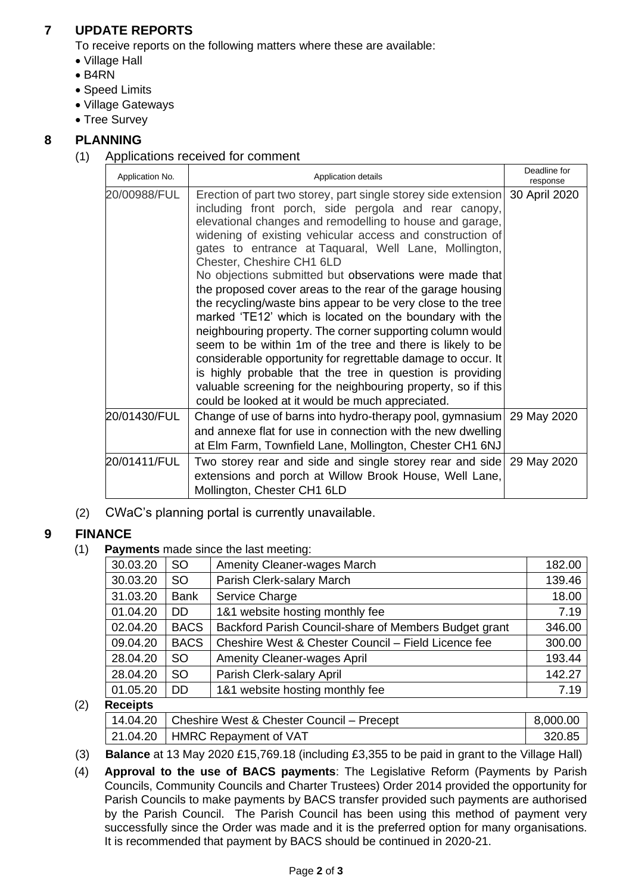## **7 UPDATE REPORTS**

To receive reports on the following matters where these are available:

- Village Hall
- B4RN
- Speed Limits
- Village Gateways
- Tree Survey

## **8 PLANNING**

(1) Applications received for comment

| Application No. | Application details                                                                                                                                                                                                                                                                                                                                                                                                                                                                                                                                                                                                                                                                                                                                                                                                                                                                                                                                                   |               |
|-----------------|-----------------------------------------------------------------------------------------------------------------------------------------------------------------------------------------------------------------------------------------------------------------------------------------------------------------------------------------------------------------------------------------------------------------------------------------------------------------------------------------------------------------------------------------------------------------------------------------------------------------------------------------------------------------------------------------------------------------------------------------------------------------------------------------------------------------------------------------------------------------------------------------------------------------------------------------------------------------------|---------------|
| 20/00988/FUL    | Erection of part two storey, part single storey side extension<br>including front porch, side pergola and rear canopy,<br>elevational changes and remodelling to house and garage,<br>widening of existing vehicular access and construction of<br>gates to entrance at Taquaral, Well Lane, Mollington,<br>Chester, Cheshire CH1 6LD<br>No objections submitted but observations were made that<br>the proposed cover areas to the rear of the garage housing<br>the recycling/waste bins appear to be very close to the tree<br>marked 'TE12' which is located on the boundary with the<br>neighbouring property. The corner supporting column would<br>seem to be within 1m of the tree and there is likely to be<br>considerable opportunity for regrettable damage to occur. It<br>is highly probable that the tree in question is providing<br>valuable screening for the neighbouring property, so if this<br>could be looked at it would be much appreciated. | 30 April 2020 |
| 20/01430/FUL    | Change of use of barns into hydro-therapy pool, gymnasium<br>and annexe flat for use in connection with the new dwelling<br>at Elm Farm, Townfield Lane, Mollington, Chester CH1 6NJ                                                                                                                                                                                                                                                                                                                                                                                                                                                                                                                                                                                                                                                                                                                                                                                  | 29 May 2020   |
| 20/01411/FUL    | Two storey rear and side and single storey rear and side<br>extensions and porch at Willow Brook House, Well Lane,<br>Mollington, Chester CH1 6LD                                                                                                                                                                                                                                                                                                                                                                                                                                                                                                                                                                                                                                                                                                                                                                                                                     | 29 May 2020   |

(2) CWaC's planning portal is currently unavailable.

## **9 FINANCE**

(1) **Payments** made since the last meeting:

| 30.03.20 | SO.         | <b>Amenity Cleaner-wages March</b>                    | 182.00 |
|----------|-------------|-------------------------------------------------------|--------|
| 30.03.20 | SO.         | Parish Clerk-salary March                             | 139.46 |
| 31.03.20 | <b>Bank</b> | Service Charge                                        | 18.00  |
| 01.04.20 | DD.         | 1&1 website hosting monthly fee                       | 7.19   |
| 02.04.20 | <b>BACS</b> | Backford Parish Council-share of Members Budget grant | 346.00 |
| 09.04.20 | <b>BACS</b> | Cheshire West & Chester Council - Field Licence fee   | 300.00 |
| 28.04.20 | <b>SO</b>   | <b>Amenity Cleaner-wages April</b>                    | 193.44 |
| 28.04.20 | <b>SO</b>   | Parish Clerk-salary April                             | 142.27 |
| 01.05.20 | <b>DD</b>   | 1&1 website hosting monthly fee                       | 7.19   |
|          |             |                                                       |        |

## (2) **Receipts**

| . |                                                      |          |  |  |  |
|---|------------------------------------------------------|----------|--|--|--|
|   | 14.04.20   Cheshire West & Chester Council – Precept | 8.000.00 |  |  |  |
|   | 21.04.20   HMRC Repayment of VAT                     | 320.85   |  |  |  |

- (3) **Balance** at 13 May 2020 £15,769.18 (including £3,355 to be paid in grant to the Village Hall)
- (4) **Approval to the use of BACS payments**: The Legislative Reform (Payments by Parish Councils, Community Councils and Charter Trustees) Order 2014 provided the opportunity for Parish Councils to make payments by BACS transfer provided such payments are authorised by the Parish Council. The Parish Council has been using this method of payment very successfully since the Order was made and it is the preferred option for many organisations. It is recommended that payment by BACS should be continued in 2020-21.